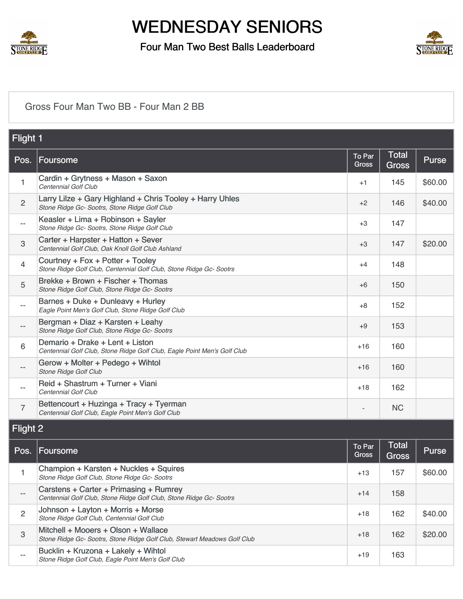

## Four Man Two Best Balls Leaderboard



#### [Gross Four Man Two BB - Four Man 2 BB](https://static.golfgenius.com/v2tournaments/8506143255858019166?called_from=&round_index=40)

| <b>Flight 1</b> |                                                                                                             |                        |                       |              |
|-----------------|-------------------------------------------------------------------------------------------------------------|------------------------|-----------------------|--------------|
| Pos.            | <b>Foursome</b>                                                                                             | To Par<br><b>Gross</b> | Total<br><b>Gross</b> | <b>Purse</b> |
| 1               | Cardin + Grytness + Mason + Saxon<br>Centennial Golf Club                                                   | $+1$                   | 145                   | \$60.00      |
| $\overline{2}$  | Larry Lilze + Gary Highland + Chris Tooley + Harry Uhles<br>Stone Ridge Gc- Sootrs, Stone Ridge Golf Club   | $+2$                   | 146                   | \$40.00      |
| $- -$           | Keasler + Lima + Robinson + Sayler<br>Stone Ridge Gc- Sootrs, Stone Ridge Golf Club                         | $+3$                   | 147                   |              |
| 3               | Carter + Harpster + Hatton + Sever<br>Centennial Golf Club, Oak Knoll Golf Club Ashland                     | $+3$                   | 147                   | \$20.00      |
| $\overline{4}$  | Courtney + Fox + Potter + Tooley<br>Stone Ridge Golf Club, Centennial Golf Club, Stone Ridge Gc- Sootrs     | $+4$                   | 148                   |              |
| 5               | Brekke + Brown + Fischer + Thomas<br>Stone Ridge Golf Club, Stone Ridge Gc-Sootrs                           | $+6$                   | 150                   |              |
| $- -$           | Barnes + Duke + Dunleavy + Hurley<br>Eagle Point Men's Golf Club, Stone Ridge Golf Club                     | $+8$                   | 152                   |              |
|                 | Bergman + Diaz + Karsten + Leahy<br>Stone Ridge Golf Club, Stone Ridge Gc- Sootrs                           | $+9$                   | 153                   |              |
| 6               | Demario + Drake + Lent + Liston<br>Centennial Golf Club, Stone Ridge Golf Club, Eagle Point Men's Golf Club | $+16$                  | 160                   |              |
|                 | Gerow + Molter + Pedego + Wihtol<br><b>Stone Ridge Golf Club</b>                                            | $+16$                  | 160                   |              |
| $-$             | Reid + Shastrum + Turner + Viani<br>Centennial Golf Club                                                    | $+18$                  | 162                   |              |
| $\overline{7}$  | Bettencourt + Huzinga + Tracy + Tyerman<br>Centennial Golf Club, Eagle Point Men's Golf Club                |                        | <b>NC</b>             |              |
| Flight 2        |                                                                                                             |                        |                       |              |

| Pos. | Foursome                                                                                                        | To Par<br><b>Gross</b> | <b>Total</b><br><b>Gross</b> | Purse   |
|------|-----------------------------------------------------------------------------------------------------------------|------------------------|------------------------------|---------|
|      | Champion + Karsten + Nuckles + Squires<br>Stone Ridge Golf Club, Stone Ridge Gc-Sootrs                          | $+13$                  | 157                          | \$60.00 |
|      | Carstens + Carter + Primasing + Rumrey<br>Centennial Golf Club, Stone Ridge Golf Club, Stone Ridge Gc- Sootrs   | $+14$                  | 158                          |         |
| 2    | Johnson + Layton + Morris + Morse<br>Stone Ridge Golf Club, Centennial Golf Club                                | $+18$                  | 162                          | \$40.00 |
| 3    | Mitchell + Mooers + Olson + Wallace<br>Stone Ridge Gc- Sootrs, Stone Ridge Golf Club, Stewart Meadows Golf Club | $+18$                  | 162                          | \$20.00 |
| --   | Bucklin + Kruzona + Lakely + Wihtol<br>Stone Ridge Golf Club, Eagle Point Men's Golf Club                       | $+19$                  | 163                          |         |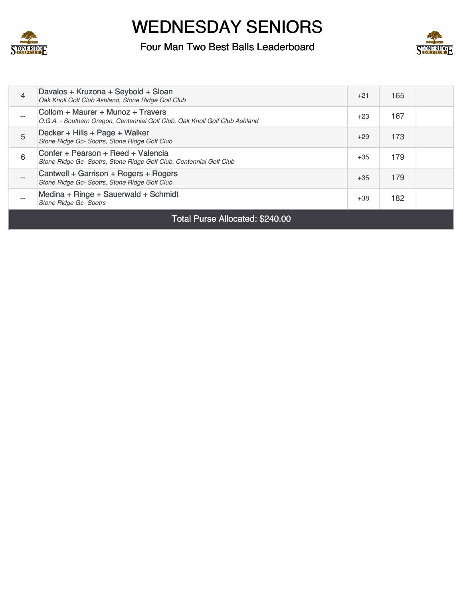

## Four Man Two Best Balls Leaderboard



| $\overline{4}$                  | Davalos + Kruzona + Seybold + Sloan<br>Oak Knoll Golf Club Ashland, Stone Ridge Golf Club                        | $+21$ | 165 |  |
|---------------------------------|------------------------------------------------------------------------------------------------------------------|-------|-----|--|
| $- -$                           | Collom + Maurer + Munoz + Travers<br>O.G.A. - Southern Oregon, Centennial Golf Club, Oak Knoll Golf Club Ashland | $+23$ | 167 |  |
| 5                               | Decker + Hills + Page + Walker<br>Stone Ridge Gc- Sootrs, Stone Ridge Golf Club                                  | $+29$ | 173 |  |
| 6                               | Confer + Pearson + Reed + Valencia<br>Stone Ridge Gc- Sootrs, Stone Ridge Golf Club, Centennial Golf Club        | $+35$ | 179 |  |
| $- -$                           | Cantwell + Garrison + Rogers + Rogers<br>Stone Ridge Gc- Sootrs, Stone Ridge Golf Club                           | $+35$ | 179 |  |
| --                              | Medina + Ringe + Sauerwald + Schmidt<br>Stone Ridge Gc- Sootrs                                                   | $+38$ | 182 |  |
| Total Purse Allocated: \$240.00 |                                                                                                                  |       |     |  |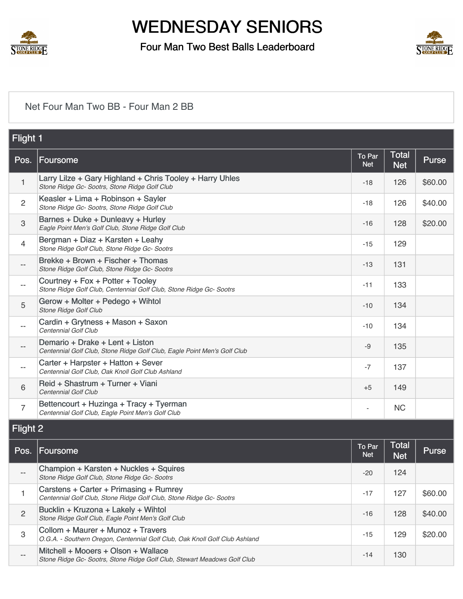

### Four Man Two Best Balls Leaderboard



#### [Net Four Man Two BB - Four Man 2 BB](https://static.golfgenius.com/v2tournaments/8506143259884551007?called_from=&round_index=40)

| Flight 1          |                                                                                                             |                      |                            |         |
|-------------------|-------------------------------------------------------------------------------------------------------------|----------------------|----------------------------|---------|
| Pos.              | Foursome                                                                                                    | To Par<br><b>Net</b> | <b>Total</b><br><b>Net</b> | Purse   |
| $\mathbf{1}$      | Larry Lilze + Gary Highland + Chris Tooley + Harry Uhles<br>Stone Ridge Gc- Sootrs, Stone Ridge Golf Club   | $-18$                | 126                        | \$60.00 |
| $\overline{2}$    | Keasler + Lima + Robinson + Sayler<br>Stone Ridge Gc- Sootrs, Stone Ridge Golf Club                         | $-18$                | 126                        | \$40.00 |
| $\mathbf{3}$      | Barnes + Duke + Dunleavy + Hurley<br>Eagle Point Men's Golf Club, Stone Ridge Golf Club                     | $-16$                | 128                        | \$20.00 |
| $\overline{4}$    | Bergman + Diaz + Karsten + Leahy<br>Stone Ridge Golf Club, Stone Ridge Gc- Sootrs                           | $-15$                | 129                        |         |
| $\qquad \qquad -$ | Brekke + Brown + Fischer + Thomas<br>Stone Ridge Golf Club, Stone Ridge Gc-Sootrs                           | $-13$                | 131                        |         |
| $\qquad \qquad -$ | Courtney + Fox + Potter + Tooley<br>Stone Ridge Golf Club, Centennial Golf Club, Stone Ridge Gc- Sootrs     | $-11$                | 133                        |         |
| 5                 | Gerow + Molter + Pedego + Wihtol<br><b>Stone Ridge Golf Club</b>                                            | $-10$                | 134                        |         |
| $- -$             | Cardin + Grytness + Mason + Saxon<br>Centennial Golf Club                                                   | $-10$                | 134                        |         |
| $\qquad \qquad -$ | Demario + Drake + Lent + Liston<br>Centennial Golf Club, Stone Ridge Golf Club, Eagle Point Men's Golf Club | $-9$                 | 135                        |         |
| $\qquad \qquad -$ | Carter + Harpster + Hatton + Sever<br>Centennial Golf Club, Oak Knoll Golf Club Ashland                     | $-7$                 | 137                        |         |
| 6                 | Reid + Shastrum + Turner + Viani<br>Centennial Golf Club                                                    | $+5$                 | 149                        |         |
| $\overline{7}$    | Bettencourt + Huzinga + Tracy + Tyerman<br>Centennial Golf Club, Eagle Point Men's Golf Club                |                      | <b>NC</b>                  |         |
| Flight 2          |                                                                                                             |                      |                            |         |

| Pos. | Foursome                                                                                                         | To Par<br><b>Net</b> | <b>Total</b><br><b>Net</b> | Purse   |
|------|------------------------------------------------------------------------------------------------------------------|----------------------|----------------------------|---------|
| --   | Champion + Karsten + Nuckles + Squires<br>Stone Ridge Golf Club, Stone Ridge Gc- Sootrs                          | $-20$                | 124                        |         |
|      | Carstens + Carter + Primasing + Rumrey<br>Centennial Golf Club, Stone Ridge Golf Club, Stone Ridge Gc- Sootrs    | $-17$                | 127                        | \$60.00 |
| 2    | Bucklin + Kruzona + Lakely + Wihtol<br>Stone Ridge Golf Club, Eagle Point Men's Golf Club                        | $-16$                | 128                        | \$40.00 |
| 3    | Collom + Maurer + Munoz + Travers<br>O.G.A. - Southern Oregon, Centennial Golf Club, Oak Knoll Golf Club Ashland | $-15$                | 129                        | \$20.00 |
| --   | Mitchell + Mooers + Olson + Wallace<br>Stone Ridge Gc- Sootrs, Stone Ridge Golf Club, Stewart Meadows Golf Club  | $-14$                | 130                        |         |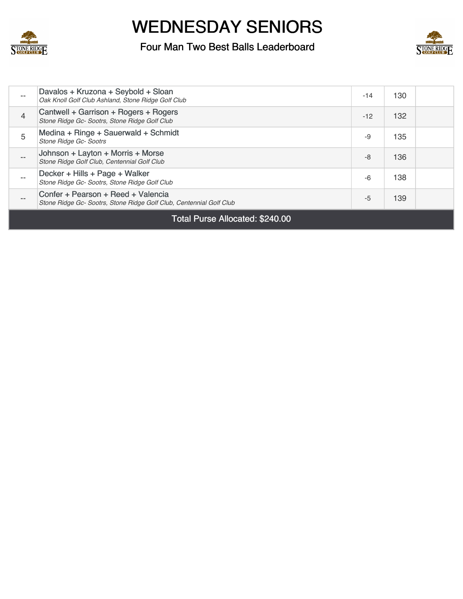

## Four Man Two Best Balls Leaderboard



| Cantwell + Garrison + Rogers + Rogers<br>$\overline{4}$<br>132<br>$-12$<br>Stone Ridge Gc- Sootrs, Stone Ridge Golf Club<br>Medina + Ringe + Sauerwald + Schmidt<br>5<br>135<br>-9<br><b>Stone Ridge Gc- Sootrs</b><br>Johnson + Layton + Morris + Morse<br>136<br>-8<br>$\qquad \qquad -$<br>Stone Ridge Golf Club, Centennial Golf Club<br>Decker + Hills + Page + Walker<br>138<br>$-6$<br>Stone Ridge Gc- Sootrs, Stone Ridge Golf Club<br>Confer + Pearson + Reed + Valencia |  |
|-----------------------------------------------------------------------------------------------------------------------------------------------------------------------------------------------------------------------------------------------------------------------------------------------------------------------------------------------------------------------------------------------------------------------------------------------------------------------------------|--|
|                                                                                                                                                                                                                                                                                                                                                                                                                                                                                   |  |
|                                                                                                                                                                                                                                                                                                                                                                                                                                                                                   |  |
|                                                                                                                                                                                                                                                                                                                                                                                                                                                                                   |  |
|                                                                                                                                                                                                                                                                                                                                                                                                                                                                                   |  |
| Davalos + Kruzona + Seybold + Sloan<br>130<br>$-14$<br>$- -$<br>Oak Knoll Golf Club Ashland, Stone Ridge Golf Club                                                                                                                                                                                                                                                                                                                                                                |  |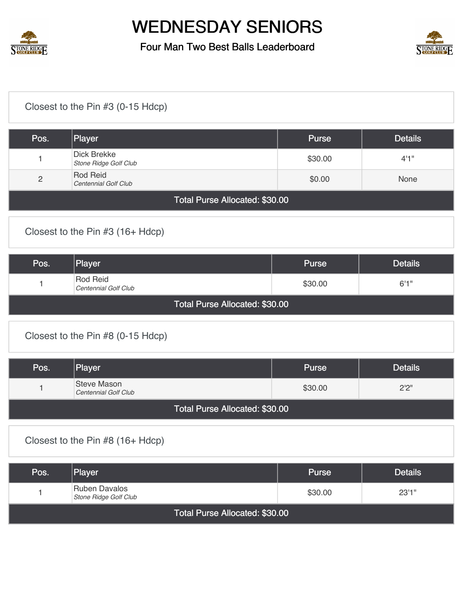

## Four Man Two Best Balls Leaderboard



## [Closest to the Pin #3 \(0-15 Hdcp\)](https://static.golfgenius.com/v2tournaments/8506579707582511983?called_from=&round_index=40)

| Pos.                           | Player                               | <b>Purse</b> | <b>Details</b> |  |
|--------------------------------|--------------------------------------|--------------|----------------|--|
|                                | Dick Brekke<br>Stone Ridge Golf Club | \$30.00      | 4'1''          |  |
| $\overline{2}$                 | Rod Reid<br>Centennial Golf Club     | \$0.00       | <b>None</b>    |  |
| Total Purse Allocated: \$30.00 |                                      |              |                |  |

#### [Closest to the Pin #3 \(16+ Hdcp\)](https://static.golfgenius.com/v2tournaments/8506580037321915248?called_from=&round_index=40)

| Pos.                           | Player                           | <b>Purse</b> | <b>Details</b> |  |  |
|--------------------------------|----------------------------------|--------------|----------------|--|--|
|                                | Rod Reid<br>Centennial Golf Club | \$30.00      | 6'1''          |  |  |
| Total Purse Allocated: \$30.00 |                                  |              |                |  |  |

### [Closest to the Pin #8 \(0-15 Hdcp\)](https://static.golfgenius.com/v2tournaments/8506580643348511601?called_from=&round_index=40)

| Pos.                           | Player                              | Purse   | <b>Details</b> |  |  |
|--------------------------------|-------------------------------------|---------|----------------|--|--|
|                                | Steve Mason<br>Centennial Golf Club | \$30.00 | 2'2''          |  |  |
| Total Purse Allocated: \$30.00 |                                     |         |                |  |  |

#### [Closest to the Pin #8 \(16+ Hdcp\)](https://static.golfgenius.com/v2tournaments/8506581091233069938?called_from=&round_index=40)

| Pos.                           | Player                                 | <b>Purse</b> | <b>Details</b> |  |  |
|--------------------------------|----------------------------------------|--------------|----------------|--|--|
|                                | Ruben Davalos<br>Stone Ridge Golf Club | \$30.00      | 23'1''         |  |  |
| Total Purse Allocated: \$30.00 |                                        |              |                |  |  |